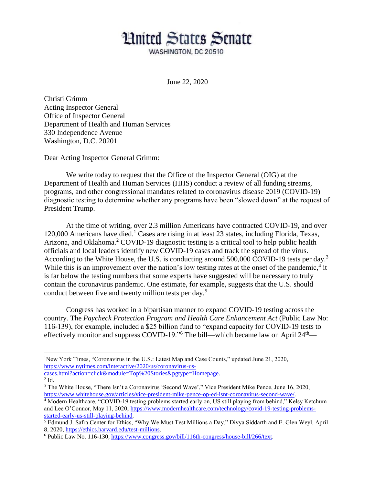## **Hnited States Senate**

WASHINGTON, DC 20510

June 22, 2020

Christi Grimm Acting Inspector General Office of Inspector General Department of Health and Human Services 330 Independence Avenue Washington, D.C. 20201

Dear Acting Inspector General Grimm:

We write today to request that the Office of the Inspector General (OIG) at the Department of Health and Human Services (HHS) conduct a review of all funding streams, programs, and other congressional mandates related to coronavirus disease 2019 (COVID-19) diagnostic testing to determine whether any programs have been "slowed down" at the request of President Trump.

At the time of writing, over 2.3 million Americans have contracted COVID-19, and over 120,000 Americans have died.<sup>1</sup> Cases are rising in at least 23 states, including Florida, Texas, Arizona, and Oklahoma.<sup>2</sup> COVID-19 diagnostic testing is a critical tool to help public health officials and local leaders identify new COVID-19 cases and track the spread of the virus. According to the White House, the U.S. is conducting around 500,000 COVID-19 tests per day.<sup>3</sup> While this is an improvement over the nation's low testing rates at the onset of the pandemic,<sup>4</sup> it is far below the testing numbers that some experts have suggested will be necessary to truly contain the coronavirus pandemic. One estimate, for example, suggests that the U.S. should conduct between five and twenty million tests per day.<sup>5</sup>

Congress has worked in a bipartisan manner to expand COVID-19 testing across the country. The *Paycheck Protection Program and Health Care Enhancement Act* (Public Law No: 116-139), for example, included a \$25 billion fund to "expand capacity for COVID-19 tests to effectively monitor and suppress COVID-19."<sup>6</sup> The bill—which became law on April  $24<sup>th</sup>$ —

 $\overline{a}$ 

<sup>&</sup>lt;sup>1</sup>New York Times, "Coronavirus in the U.S.: Latest Map and Case Counts," updated June 21, 2020, [https://www.nytimes.com/interactive/2020/us/coronavirus-us-](https://www.nytimes.com/interactive/2020/us/coronavirus-us-cases.html?action=click&module=Top%20Stories&pgtype=Homepage)

[cases.html?action=click&module=Top%20Stories&pgtype=Homepage.](https://www.nytimes.com/interactive/2020/us/coronavirus-us-cases.html?action=click&module=Top%20Stories&pgtype=Homepage)

 $2$  Id.

<sup>3</sup> The White House, "There Isn't a Coronavirus 'Second Wave'," Vice President Mike Pence, June 16, 2020, [https://www.whitehouse.gov/articles/vice-president-mike-pence-op-ed-isnt-coronavirus-second-wave/.](https://www.whitehouse.gov/articles/vice-president-mike-pence-op-ed-isnt-coronavirus-second-wave/)

<sup>4</sup> Modern Healthcare, "COVID-19 testing problems started early on, US still playing from behind," Kelsy Ketchum and Lee O'Connor, May 11, 2020, [https://www.modernhealthcare.com/technology/covid-19-testing-problems](https://www.modernhealthcare.com/technology/covid-19-testing-problems-started-early-us-still-playing-behind)[started-early-us-still-playing-behind.](https://www.modernhealthcare.com/technology/covid-19-testing-problems-started-early-us-still-playing-behind) 

<sup>5</sup> Edmund J. Safra Center for Ethics, "Why We Must Test Millions a Day," Divya Siddarth and E. Glen Weyl, April 8, 2020, [https://ethics.harvard.edu/test-millions.](https://ethics.harvard.edu/test-millions)

<sup>6</sup> Public Law No. 116-130[, https://www.congress.gov/bill/116th-congress/house-bill/266/text.](https://www.congress.gov/bill/116th-congress/house-bill/266/text)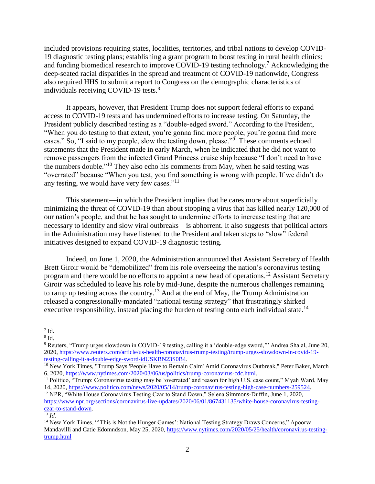included provisions requiring states, localities, territories, and tribal nations to develop COVID-19 diagnostic testing plans; establishing a grant program to boost testing in rural health clinics; and funding biomedical research to improve COVID-19 testing technology.<sup>7</sup> Acknowledging the deep-seated racial disparities in the spread and treatment of COVID-19 nationwide, Congress also required HHS to submit a report to Congress on the demographic characteristics of individuals receiving COVID-19 tests.<sup>8</sup>

It appears, however, that President Trump does not support federal efforts to expand access to COVID-19 tests and has undermined efforts to increase testing. On Saturday, the President publicly described testing as a "double-edged sword." According to the President, "When you do testing to that extent, you're gonna find more people, you're gonna find more cases." So, "I said to my people, slow the testing down, please."<sup>9</sup> These comments echoed statements that the President made in early March, when he indicated that he did not want to remove passengers from the infected Grand Princess cruise ship because "I don't need to have the numbers double."<sup>10</sup> They also echo his comments from May, when he said testing was "overrated" because "When you test, you find something is wrong with people. If we didn't do any testing, we would have very few cases."<sup>11</sup>

This statement—in which the President implies that he cares more about superficially minimizing the threat of COVID-19 than about stopping a virus that has killed nearly 120,000 of our nation's people, and that he has sought to undermine efforts to increase testing that are necessary to identify and slow viral outbreaks—is abhorrent. It also suggests that political actors in the Administration may have listened to the President and taken steps to "slow" federal initiatives designed to expand COVID-19 diagnostic testing.

Indeed, on June 1, 2020, the Administration announced that Assistant Secretary of Health Brett Giroir would be "demobilized" from his role overseeing the nation's coronavirus testing program and there would be no efforts to appoint a new head of operations.<sup>12</sup> Assistant Secretary Giroir was scheduled to leave his role by mid-June, despite the numerous challenges remaining to ramp up testing across the country.<sup>13</sup> And at the end of May, the Trump Administration released a congressionally-mandated "national testing strategy" that frustratingly shirked executive responsibility, instead placing the burden of testing onto each individual state.<sup>14</sup>

 $\overline{a}$  $7$  Id.

<sup>8</sup> Id.

<sup>9</sup> Reuters, "Trump urges slowdown in COVID-19 testing, calling it a 'double-edge sword,'" Andrea Shalal, June 20, 2020, [https://www.reuters.com/article/us-health-coronavirus-trump-testing/trump-urges-slowdown-in-covid-19](https://www.reuters.com/article/us-health-coronavirus-trump-testing/trump-urges-slowdown-in-covid-19-testing-calling-it-a-double-edge-sword-idUSKBN23S0B4) [testing-calling-it-a-double-edge-sword-idUSKBN23S0B4.](https://www.reuters.com/article/us-health-coronavirus-trump-testing/trump-urges-slowdown-in-covid-19-testing-calling-it-a-double-edge-sword-idUSKBN23S0B4)

<sup>&</sup>lt;sup>10</sup> New York Times, "Trump Says 'People Have to Remain Calm' Amid Coronavirus Outbreak," Peter Baker, March 6, 2020, [https://www.nytimes.com/2020/03/06/us/politics/trump-coronavirus-cdc.html.](https://www.nytimes.com/2020/03/06/us/politics/trump-coronavirus-cdc.html)

<sup>&</sup>lt;sup>11</sup> Politico, "Trump: Coronavirus testing may be 'overrated' and reason for high U.S. case count," Myah Ward, May 14, 2020, [https://www.politico.com/news/2020/05/14/trump-coronavirus-testing-high-case-numbers-259524.](https://www.politico.com/news/2020/05/14/trump-coronavirus-testing-high-case-numbers-259524)

<sup>&</sup>lt;sup>12</sup> NPR, "White House Coronavirus Testing Czar to Stand Down," Selena Simmons-Duffin, June 1, 2020, [https://www.npr.org/sections/coronavirus-live-updates/2020/06/01/867431135/white-house-coronavirus-testing](https://www.npr.org/sections/coronavirus-live-updates/2020/06/01/867431135/white-house-coronavirus-testing-czar-to-stand-down)[czar-to-stand-down.](https://www.npr.org/sections/coronavirus-live-updates/2020/06/01/867431135/white-house-coronavirus-testing-czar-to-stand-down)

<sup>13</sup> *Id.*

<sup>14</sup> New York Times, "'This is Not the Hunger Games': National Testing Strategy Draws Concerns," Apoorva Mandavilli and Catie Edomndson, May 25, 2020, [https://www.nytimes.com/2020/05/25/health/coronavirus-testing](https://www.nytimes.com/2020/05/25/health/coronavirus-testing-trump.html)[trump.html](https://www.nytimes.com/2020/05/25/health/coronavirus-testing-trump.html)